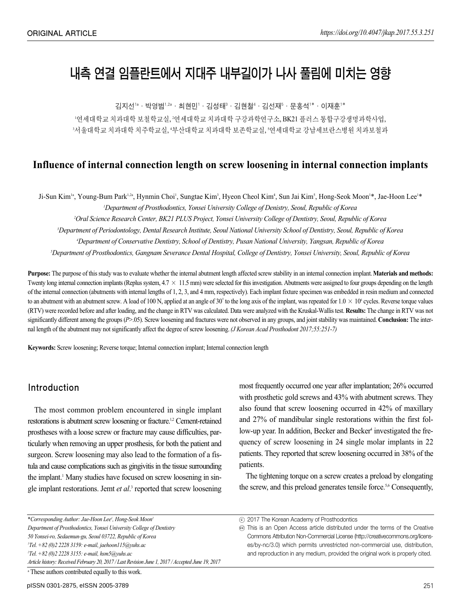# 내측 연결 임플란트에서 지대주 내부길이가 나사 풀림에 미치는 영향

김지선™•박영범™ 최현민™김성태®•김현철"·김선재®•문홍석™•이재훈™

'연세대학교 치과대학 보철학교실, '연세대학교 치과대학 구강과학연구소, BK21 플러스 통합구강생명과학사업,  $^3$ 서울대학교치파 치주학교실, '부산대학교 치과대학 보존학교실, '연세대학교 강남세브란스병원 치과보철과

# **Influence of internal connection length on screw loosening in internal connection implants**

Ji-Sun Kim<sup>1a</sup>, Young-Bum Park<sup>1,2a</sup>, Hynmin Choi<sup>1</sup>, Sungtae Kim<sup>3</sup>, Hyeon Cheol Kim<sup>4</sup>, Sun Jai Kim<sup>5</sup>, Hong-Seok Moon<sup>1</sup>\*, Jae-Hoon Lee<sup>1</sup>\*

*1 Department of Prosthodontics, Yonsei University College of Denistry, Seoul, Republic of Korea*

*2 Oral Science Research Center, BK21 PLUS Project, Yonsei University College of Dentistry, Seoul, Republic of Korea*

*3 Department of Periodontology, Dental Research Institute, Seoul National University School of Dentistry, Seoul, Republic of Korea*

*4 Department of Conservative Dentistry, School of Dentistry, Pusan National University, Yangsan, Republic of Korea*

*5 Department of Prosthodontics, Gangnam Severance Dental Hospital, College of Dentistry, Yonsei University, Seoul, Republic of Korea*

**Purpose:** The purpose of this study was to evaluate whether the internal abutment length affected screw stability in an internal connection implant. **Materials and methods:** Twenty long internal connection implants (Replus system,  $4.7 \times 11.5$  mm) were selected for this investigation. Abutments were assigned to four groups depending on the length of the internal connection (abutments with internal lengths of 1, 2, 3, and 4 mm, respectively). Each implant fixture specimen was embedded in resin medium and connected to an abutment with an abutment screw. A load of 100 N, applied at an angle of 30 $^{\circ}$  to the long axis of the implant, was repeated for  $1.0 \times 10^{\circ}$  cycles. Reverse torque values (RTV) were recorded before and after loading, and the change in RTV was calculated. Data were analyzed with the Kruskal-Wallis test. **Results:** The change in RTV was not significantly different among the groups (*P*>.05). Screw loosening and fractures were not observed in any groups, and joint stability was maintained. **Conclusion:** The internal length of the abutment may not significantly affect the degree of screw loosening. *(J Korean Acad Prosthodont 2017;55:251-7)*

**Keywords:** Screw loosening; Reverse torque; Internal connection implant; Internal connection length

## Introduction

The most common problem encountered in single implant restorations is abutment screw loosening or fracture.<sup>1,2</sup> Cement-retained prostheses with a loose screw or fracture may cause difficulties, particularly when removing an upper prosthesis, for both the patient and surgeon. Screw loosening may also lead to the formation of a fistula and cause complications such as gingivitis in the tissue surrounding the implant.<sup>1</sup> Many studies have focused on screw loosening in single implant restorations. Jemt *et al*. <sup>3</sup> reported that screw loosening

most frequently occurred one year after implantation; 26% occurred with prosthetic gold screws and 43% with abutment screws. They also found that screw loosening occurred in 42% of maxillary and 27% of mandibular single restorations within the first follow-up year. In addition, Becker and Becker<sup>4</sup> investigated the frequency of screw loosening in 24 single molar implants in 22 patients. They reported that screw loosening occurred in 38% of the patients.

The tightening torque on a screw creates a preload by elongating the screw, and this preload generates tensile force.<sup>5,6</sup> Consequently,

| *Corresponding Author: Jae-Hoon Lee', Hong-Seok Moon <sup>2</sup>                                 | (c) 2017 The Korean A      |
|---------------------------------------------------------------------------------------------------|----------------------------|
| Department of Prosthodontics, Yonsei University College of Dentistry                              | © This is an Open Ao       |
| 50 Yonsei-ro, Sedaemun-gu, Seoul 03722, Republic of Korea                                         | <b>Commons Attribution</b> |
| 'Tel. +82 (0)2 2228 3159: e-mail, jaehoon115@yuhs.ac                                              | es/by-nc/3.0) which        |
| $27el. + 82$ (0)2 2228 3155: e-mail, hsm5@yuhs.ac                                                 | and reproduction in        |
| Article history: Received February 20, 2017 / Last Revision June 1, 2017 / Accepted June 19, 2017 |                            |
| <sup>a</sup> These authors contributed equally to this work.                                      |                            |

ccess article distributed under the terms of the Creative Non-Commercial License (http://creativecommons.org/licensh permits unrestricted non-commercial use, distribution, any medium, provided the original work is properly cited.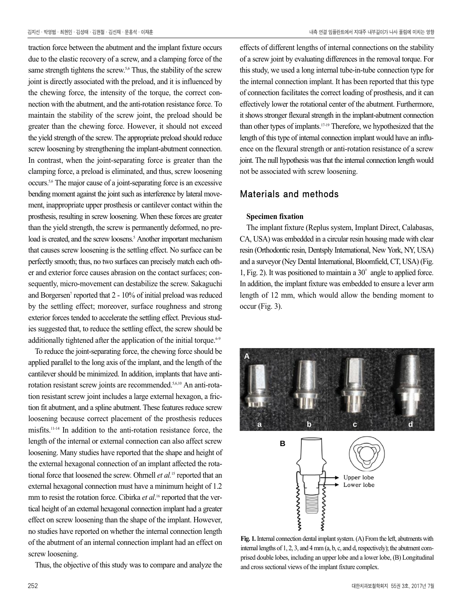traction force between the abutment and the implant fixture occurs due to the elastic recovery of a screw, and a clamping force of the same strength tightens the screw.<sup>5,6</sup> Thus, the stability of the screw joint is directly associated with the preload, and it is influenced by the chewing force, the intensity of the torque, the correct connection with the abutment, and the anti-rotation resistance force. To maintain the stability of the screw joint, the preload should be greater than the chewing force. However, it should not exceed the yield strength of the screw. The appropriate preload should reduce screw loosening by strengthening the implant-abutment connection. In contrast, when the joint-separating force is greater than the clamping force, a preload is eliminated, and thus, screw loosening occurs.5,6 The major cause of a joint-separating force is an excessive bending moment against the joint such as interference by lateral movement, inappropriate upper prosthesis or cantilever contact within the prosthesis, resulting in screw loosening. When these forces are greater than the yield strength, the screw is permanently deformed, no preload is created, and the screw loosens.<sup>5</sup> Another important mechanism that causes screw loosening is the settling effect. No surface can be perfectly smooth; thus, no two surfaces can precisely match each other and exterior force causes abrasion on the contact surfaces; consequently, micro-movement can destabilize the screw. Sakaguchi and Borgersen<sup>7</sup> reported that 2 - 10% of initial preload was reduced by the settling effect; moreover, surface roughness and strong exterior forces tended to accelerate the settling effect. Previous studies suggested that, to reduce the settling effect, the screw should be additionally tightened after the application of the initial torque. $6-9$ 

To reduce the joint-separating force, the chewing force should be applied parallel to the long axis of the implant, and the length of the cantilever should be minimized. In addition, implants that have antirotation resistant screw joints are recommended.5,6,10 An anti-rotation resistant screw joint includes a large external hexagon, a friction fit abutment, and a spline abutment. These features reduce screw loosening because correct placement of the prosthesis reduces misfits.11-14 In addition to the anti-rotation resistance force, the length of the internal or external connection can also affect screw loosening. Many studies have reported that the shape and height of the external hexagonal connection of an implant affected the rotational force that loosened the screw. Ohrnell *et al.*<sup>15</sup> reported that an external hexagonal connection must have a minimum height of 1.2 mm to resist the rotation force. Cibirka *et al*.<sup>16</sup> reported that the vertical height of an external hexagonal connection implant had a greater effect on screw loosening than the shape of the implant. However, no studies have reported on whether the internal connection length of the abutment of an internal connection implant had an effect on screw loosening.

Thus, the objective of this study was to compare and analyze the

effects of different lengths of internal connections on the stability of a screw joint by evaluating differences in the removal torque. For this study, we used a long internal tube-in-tube connection type for the internal connection implant. It has been reported that this type of connection facilitates the correct loading of prosthesis, and it can effectively lower the rotational center of the abutment. Furthermore, it shows stronger flexural strength in the implant-abutment connection than other types of implants.17-19 Therefore, we hypothesized that the length of this type of internal connection implant would have an influence on the flexural strength or anti-rotation resistance of a screw joint. The null hypothesis was that the internal connection length would not be associated with screw loosening.

## Materials and methods

## **Specimen fixation**

The implant fixture (Replus system, Implant Direct, Calabasas, CA, USA) was embedded in a circular resin housing made with clear resin (Orthodontic resin, Dentsply International, New York, NY, USA) and a surveyor (Ney Dental International, Bloomfield, CT, USA) (Fig. 1, Fig. 2). It was positioned to maintain a  $30^\circ$  angle to applied force. In addition, the implant fixture was embedded to ensure a lever arm length of 12 mm, which would allow the bending moment to occur (Fig. 3).



**Fig. 1.**Internal connection dental implant system. (A) From the left, abutments with internal lengths of 1, 2, 3, and 4 mm (a, b, c, and d, respectively); the abutment comprised double lobes, including an upper lobe and a lower lobe, (B) Longitudinal and cross sectional views of the implant fixture complex.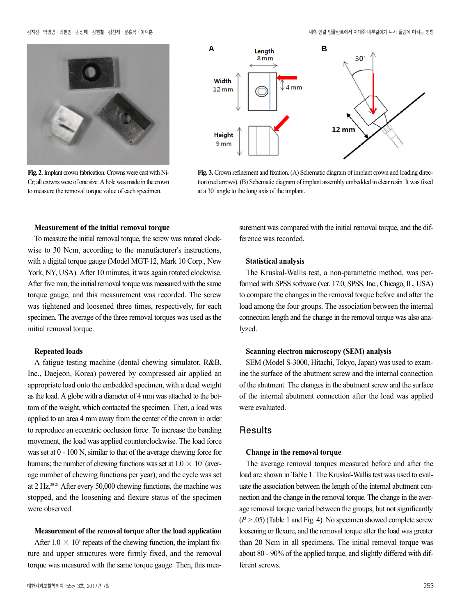

**Fig. 2.**Implant crown fabrication. Crowns were cast with Ni-Cr; all crowns were of one size. A hole was made in the crown to measure the removal torque value of each specimen.



Fig. 3. Crown refinement and fixation. (A) Schematic diagram of implant crown and loading direction (red arrows). (B) Schematic diagram of implant assembly embedded in clear resin. It was fixed at a 30�angle to the long axis of the implant.

#### **Measurement of the initial removal torque**

To measure the initial removal torque, the screw was rotated clockwise to 30 Ncm, according to the manufacturer's instructions, with a digital torque gauge (Model MGT-12, Mark 10 Corp., New York, NY, USA). After 10 minutes, it was again rotated clockwise. After five min, the initial removal torque was measured with the same torque gauge, and this measurement was recorded. The screw was tightened and loosened three times, respectively, for each specimen. The average of the three removal torques was used as the initial removal torque.

#### **Repeated loads**

A fatigue testing machine (dental chewing simulator, R&B, Inc., Daejeon, Korea) powered by compressed air applied an appropriate load onto the embedded specimen, with a dead weight as the load. A globe with a diameter of 4 mm was attached to the bottom of the weight, which contacted the specimen. Then, a load was applied to an area 4 mm away from the center of the crown in order to reproduce an eccentric occlusion force. To increase the bending movement, the load was applied counterclockwise. The load force was set at 0 - 100 N, similar to that of the average chewing force for humans; the number of chewing functions was set at  $1.0 \times 10^6$  (average number of chewing functions per year); and the cycle was set at 2 Hz.20-23 After every 50,000 chewing functions, the machine was stopped, and the loosening and flexure status of the specimen were observed.

#### **Measurement of the removal torque after the load application**

After  $1.0 \times 10^6$  repeats of the chewing function, the implant fixture and upper structures were firmly fixed, and the removal torque was measured with the same torque gauge. Then, this measurement was compared with the initial removal torque, and the difference was recorded.

### **Statistical analysis**

The Kruskal-Wallis test, a non-parametric method, was performed with SPSS software (ver. 17.0, SPSS, Inc., Chicago, IL, USA) to compare the changes in the removal torque before and after the load among the four groups. The association between the internal connection length and the change in the removal torque was also analyzed.

#### **Scanning electron microscopy (SEM) analysis**

SEM (Model S-3000, Hitachi, Tokyo, Japan) was used to examine the surface of the abutment screw and the internal connection of the abutment. The changes in the abutment screw and the surface of the internal abutment connection after the load was applied were evaluated.

## **Results**

#### **Change in the removal torque**

The average removal torques measured before and after the load are shown in Table 1. The Kruskal-Wallis test was used to evaluate the association between the length of the internal abutment connection and the change in the removal torque. The change in the average removal torque varied between the groups, but not significantly  $(P > .05)$  (Table 1 and Fig. 4). No specimen showed complete screw loosening or flexure, and the removal torque after the load was greater than 20 Ncm in all specimens. The initial removal torque was about 80 - 90% of the applied torque, and slightly differed with different screws.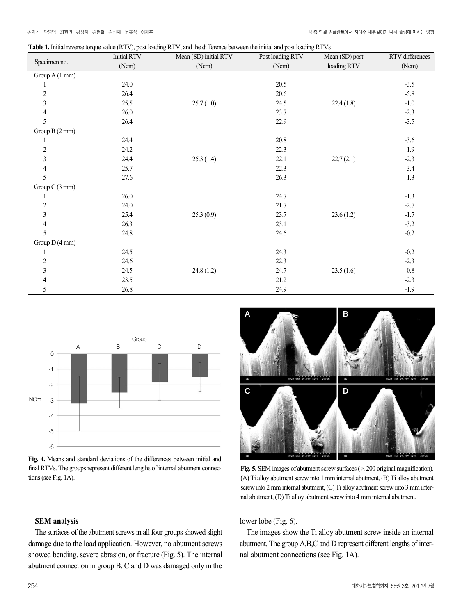|  | Table 1. Initial reverse torque value (RTV), post loading RTV, and the difference between the initial and post loading RTVs |  |
|--|-----------------------------------------------------------------------------------------------------------------------------|--|
|--|-----------------------------------------------------------------------------------------------------------------------------|--|

| Specimen no.   | $\overline{P}$<br><b>Initial RTV</b> | Mean (SD) initial RTV | Post loading RTV | $\circ$<br>Mean (SD) post | RTV differences |
|----------------|--------------------------------------|-----------------------|------------------|---------------------------|-----------------|
|                | (Ncm)                                | (Ncm)                 | (Ncm)            | loading RTV               | (Ncm)           |
| Group A (1 mm) |                                      |                       |                  |                           |                 |
| 1              | 24.0                                 |                       | 20.5             |                           | $-3.5$          |
| $\sqrt{2}$     | 26.4                                 |                       | 20.6             |                           | $-5.8$          |
| $\mathfrak{Z}$ | 25.5                                 | 25.7(1.0)             | 24.5             | 22.4(1.8)                 | $-1.0\,$        |
| $\overline{4}$ | 26.0                                 |                       | 23.7             |                           | $-2.3$          |
| 5              | 26.4                                 |                       | 22.9             |                           | $-3.5$          |
| Group B (2 mm) |                                      |                       |                  |                           |                 |
| 1              | 24.4                                 |                       | 20.8             |                           | $-3.6$          |
| $\sqrt{2}$     | 24.2                                 |                       | 22.3             |                           | $-1.9$          |
| 3              | 24.4                                 | 25.3(1.4)             | 22.1             | 22.7(2.1)                 | $-2.3$          |
| $\overline{4}$ | 25.7                                 |                       | 22.3             |                           | $-3.4$          |
| 5              | 27.6                                 |                       | 26.3             |                           | $-1.3$          |
| Group C (3 mm) |                                      |                       |                  |                           |                 |
| 1              | 26.0                                 |                       | 24.7             |                           | $-1.3$          |
| $\sqrt{2}$     | 24.0                                 |                       | 21.7             |                           | $-2.7$          |
| 3              | 25.4                                 | 25.3(0.9)             | 23.7             | 23.6(1.2)                 | $-1.7$          |
| $\overline{4}$ | 26.3                                 |                       | 23.1             |                           | $-3.2$          |
| 5              | 24.8                                 |                       | 24.6             |                           | $-0.2$          |
| Group D (4 mm) |                                      |                       |                  |                           |                 |
| 1              | 24.5                                 |                       | 24.3             |                           | $-0.2$          |
| $\sqrt{2}$     | 24.6                                 |                       | 22.3             |                           | $-2.3$          |
| 3              | 24.5                                 | 24.8(1.2)             | 24.7             | 23.5(1.6)                 | $-0.8$          |
| 4              | 23.5                                 |                       | 21.2             |                           | $-2.3$          |
| 5              | 26.8                                 |                       | 24.9             |                           | $-1.9$          |







**Fig. 5.** SEM images of abutment screw surfaces ( $\times$  200 original magnification). (A) Ti alloy abutment screw into 1 mm internal abutment, (B) Ti alloy abutment screw into 2 mm internal abutment, (C) Ti alloy abutment screw into 3 mm internal abutment, (D) Ti alloy abutment screw into 4 mm internal abutment.

### **SEM analysis**

The surfaces of the abutment screws in all four groups showed slight damage due to the load application. However, no abutment screws showed bending, severe abrasion, or fracture (Fig. 5). The internal abutment connection in group B, C and D was damaged only in the lower lobe (Fig. 6).

The images show the Ti alloy abutment screw inside an internal abutment. The group A,B,C and D represent different lengths of internal abutment connections (see Fig. 1A).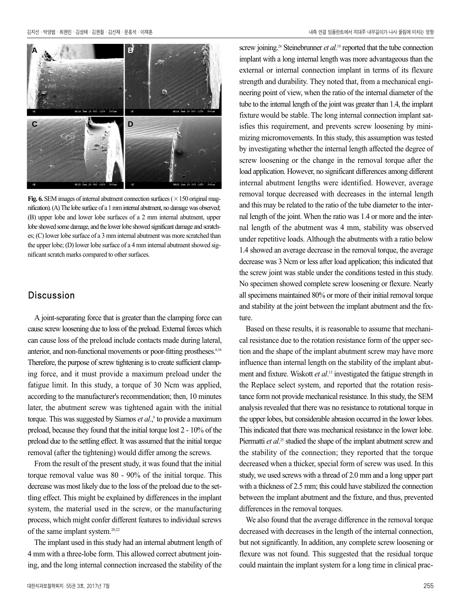

**Fig. 6.** SEM images of internal abutment connection surfaces ( $\times$  150 original magnification). (A) The lobe surface of a 1 mm internal abutment, no damage was observed; (B) upper lobe and lower lobe surfaces of a 2 mm internal abutment, upper lobe showed some damage, and the lower lobe showed significant damage and scratches; (C) lower lobe surface of a 3 mm internal abutment was more scratched than the upper lobe; (D) lower lobe surface of a 4 mm internal abutment showed significant scratch marks compared to other surfaces.

## Discussion

A joint-separating force that is greater than the clamping force can cause screw loosening due to loss of the preload. External forces which can cause loss of the preload include contacts made during lateral, anterior, and non-functional movements or poor-fitting prostheses.<sup>6,16</sup> Therefore, the purpose of screw tightening is to create sufficient clamping force, and it must provide a maximum preload under the fatigue limit. In this study, a torque of 30 Ncm was applied, according to the manufacturer's recommendation; then, 10 minutes later, the abutment screw was tightened again with the initial torque. This was suggested by Siamos *et al.*,<sup>9</sup> to provide a maximum preload, because they found that the initial torque lost 2 - 10% of the preload due to the settling effect. It was assumed that the initial torque removal (after the tightening) would differ among the screws.

From the result of the present study, it was found that the initial torque removal value was 80 - 90% of the initial torque. This decrease was most likely due to the loss of the preload due to the settling effect. This might be explained by differences in the implant system, the material used in the screw, or the manufacturing process, which might confer different features to individual screws of the same implant system.20,22

The implant used in this study had an internal abutment length of 4 mm with a three-lobe form. This allowed correct abutment joining, and the long internal connection increased the stability of the

screw joining.<sup>24</sup> Steinebrunner *et al.*<sup>19</sup> reported that the tube connection implant with a long internal length was more advantageous than the external or internal connection implant in terms of its flexure strength and durability. They noted that, from a mechanical engineering point of view, when the ratio of the internal diameter of the tube to the internal length of the joint was greater than 1.4, the implant fixture would be stable. The long internal connection implant satisfies this requirement, and prevents screw loosening by minimizing micromovements. In this study, this assumption was tested by investigating whether the internal length affected the degree of screw loosening or the change in the removal torque after the load application. However, no significant differences among different internal abutment lengths were identified. However, average removal torque decreased with decreases in the internal length and this may be related to the ratio of the tube diameter to the internal length of the joint. When the ratio was 1.4 or more and the internal length of the abutment was 4 mm, stability was observed under repetitive loads. Although the abutments with a ratio below 1.4 showed an average decrease in the removal torque, the average decrease was 3 Ncm or less after load application; this indicated that the screw joint was stable under the conditions tested in this study. No specimen showed complete screw loosening or flexure. Nearly all specimens maintained 80% or more of their initial removal torque and stability at the joint between the implant abutment and the fixture.

Based on these results, it is reasonable to assume that mechanical resistance due to the rotation resistance form of the upper section and the shape of the implant abutment screw may have more influence than internal length on the stability of the implant abutment and fixture. Wiskott *et al*. <sup>13</sup> investigated the fatigue strength in the Replace select system, and reported that the rotation resistance form not provide mechanical resistance. In this study, the SEM analysis revealed that there was no resistance to rotational torque in the upper lobes, but considerable abrasion occurred in the lower lobes. This indicated that there was mechanical resistance in the lower lobe. Piermatti *et al.*<sup>25</sup> studied the shape of the implant abutment screw and the stability of the connection; they reported that the torque decreased when a thicker, special form of screw was used. In this study, we used screws with a thread of 2.0 mm and a long upper part with a thickness of 2.5 mm; this could have stabilized the connection between the implant abutment and the fixture, and thus, prevented differences in the removal torques.

We also found that the average difference in the removal torque decreased with decreases in the length of the internal connection, but not significantly. In addition, any complete screw loosening or flexure was not found. This suggested that the residual torque could maintain the implant system for a long time in clinical prac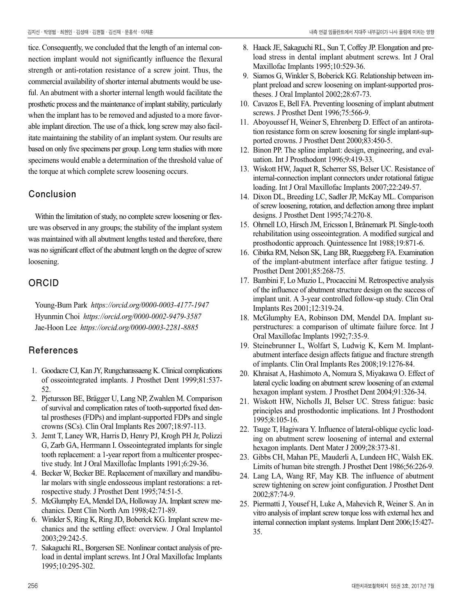tice. Consequently, we concluded that the length of an internal connection implant would not significantly influence the flexural strength or anti-rotation resistance of a screw joint. Thus, the commercial availability of shorter internal abutments would be useful. An abutment with a shorter internal length would facilitate the prosthetic process and the maintenance of implant stability, particularly when the implant has to be removed and adjusted to a more favorable implant direction. The use of a thick, long screw may also facilitate maintaining the stability of an implant system. Our results are based on only five specimens per group. Long term studies with more specimens would enable a determination of the threshold value of the torque at which complete screw loosening occurs.

## Conclusion

Within the limitation of study, no complete screw loosening or flexure was observed in any groups; the stability of the implant system was maintained with all abutment lengths tested and therefore, there was no significant effect of the abutment length on the degree of screw loosening.

## ORCID

Young-Bum Park *https://orcid.org/0000-0003-4177-1947* Hyunmin Choi *https://orcid.org/0000-0002-9479-3587* Jae-Hoon Lee *https://orcid.org/0000-0003-2281-8885*

## References

- 1. Goodacre CJ, Kan JY, Rungcharassaeng K. Clinical complications of osseointegrated implants. J Prosthet Dent 1999;81:537- 52.
- 2. Pjetursson BE, Brägger U, Lang NP, Zwahlen M. Comparison of survival and complication rates of tooth-supported fixed dental prostheses (FDPs) and implant-supported FDPs and single crowns (SCs). Clin Oral Implants Res 2007;18:97-113.
- 3. Jemt T, Laney WR, Harris D, Henry PJ, Krogh PH Jr, Polizzi G, Zarb GA, Herrmann I. Osseointegrated implants for single tooth replacement: a 1-year report from a multicenter prospective study. Int J Oral Maxillofac Implants 1991;6:29-36.
- 4. Becker W, Becker BE. Replacement of maxillary and mandibular molars with single endosseous implant restorations: a retrospective study. J Prosthet Dent 1995;74:51-5.
- 5. McGlumphy EA, Mendel DA, Holloway JA. Implant screw mechanics. Dent Clin North Am 1998;42:71-89.
- 6. Winkler S, Ring K, Ring JD, Boberick KG. Implant screw mechanics and the settling effect: overview. J Oral Implantol 2003;29:242-5.
- 7. Sakaguchi RL, Borgersen SE. Nonlinear contact analysis of preload in dental implant screws. Int J Oral Maxillofac Implants 1995;10:295-302.
- 8. Haack JE, Sakaguchi RL, Sun T, Coffey JP. Elongation and preload stress in dental implant abutment screws. Int J Oral Maxillofac Implants 1995;10:529-36.
- 9. Siamos G, Winkler S, Boberick KG. Relationship between implant preload and screw loosening on implant-supported prostheses. J Oral Implantol 2002;28:67-73.
- 10. Cavazos E, Bell FA. Preventing loosening of implant abutment screws. J Prosthet Dent 1996;75:566-9.
- 11. Aboyoussef H, Weiner S, Ehrenberg D. Effect of an antirotation resistance form on screw loosening for single implant-supported crowns. J Prosthet Dent 2000;83:450-5.
- 12. Binon PP. The spline implant: design, engineering, and evaluation. Int J Prosthodont 1996;9:419-33.
- 13. Wiskott HW, Jaquet R, Scherrer SS, Belser UC. Resistance of internal-connection implant connectors under rotational fatigue loading. Int J Oral Maxillofac Implants 2007;22:249-57.
- 14. Dixon DL, Breeding LC, Sadler JP, McKay ML. Comparison of screw loosening, rotation, and deflection among three implant designs. J Prosthet Dent 1995;74:270-8.
- 15. Ohrnell LO, Hirsch JM, Ericsson I, Brånemark PI. Single-tooth rehabilitation using osseointegration. A modified surgical and prosthodontic approach. Quintessence Int 1988;19:871-6.
- 16. Cibirka RM, Nelson SK, Lang BR, Rueggeberg FA. Examination of the implant-abutment interface after fatigue testing. J Prosthet Dent 2001;85:268-75.
- 17. Bambini F, Lo Muzio L, Procaccini M. Retrospective analysis of the influence of abutment structure design on the success of implant unit. A 3-year controlled follow-up study. Clin Oral Implants Res 2001;12:319-24.
- 18. McGlumphy EA, Robinson DM, Mendel DA. Implant superstructures: a comparison of ultimate failure force. Int J Oral Maxillofac Implants 1992;7:35-9.
- 19. Steinebrunner L, Wolfart S, Ludwig K, Kern M. Implantabutment interface design affects fatigue and fracture strength of implants. Clin Oral Implants Res 2008;19:1276-84.
- 20. Khraisat A, Hashimoto A, Nomura S, Miyakawa O. Effect of lateral cyclic loading on abutment screw loosening of an external hexagon implant system. J Prosthet Dent 2004;91:326-34.
- 21. Wiskott HW, Nicholls JI, Belser UC. Stress fatigue: basic principles and prosthodontic implications. Int J Prosthodont 1995;8:105-16.
- 22. Tsuge T, Hagiwara Y. Influence of lateral-oblique cyclic loading on abutment screw loosening of internal and external hexagon implants. Dent Mater J 2009;28:373-81.
- 23. Gibbs CH, Mahan PE, Mauderli A, Lundeen HC, Walsh EK. Limits of human bite strength. J Prosthet Dent 1986;56:226-9.
- 24. Lang LA, Wang RF, May KB. The influence of abutment screw tightening on screw joint configuration. J Prosthet Dent 2002;87:74-9.
- 25. Piermatti J, Yousef H, Luke A, Mahevich R, Weiner S. An in vitro analysis of implant screw torque loss with external hex and internal connection implant systems. Implant Dent 2006;15:427- 35.